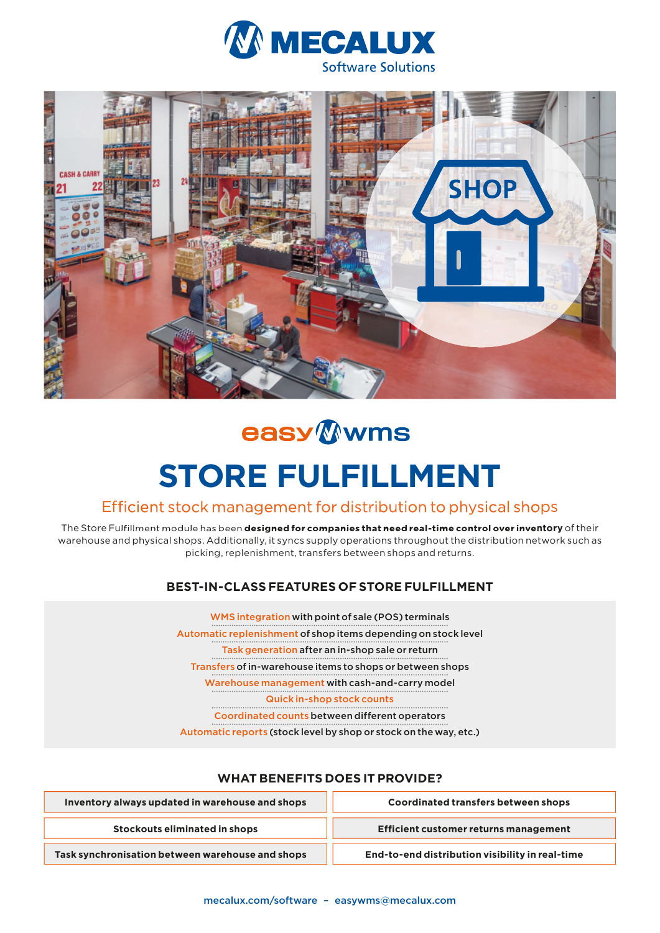



# easy Wwms

# **STORE FULFILLMENT**

## Efficient stock management for distribution to physical shops

The Store Fulfillment module has been **designed for companies that need real-time control over inventory** of their warehouse and physical shops. Additionally, it syncs supply operations throughout the distribution network such as picking, replenishment, transfers between shops and returns.

#### **BEST-IN-CLASS FEATURES OF STORE FULFILLMENT**

WMS integration with point of sale (POS) terminals Automatic replenishment of shop items depending on stock level Task generation after an in-shop sale or return Transfers of in-warehouse items to shops or between shops Warehouse management with cash-and-carry model Quick in-shop stock counts

Coordinated counts between different operators

Automatic reports (stock level by shop or stock on the way, etc.)

#### **WHAT BENEFITS DOES IT PROVIDE?**

| Inventory always updated in warehouse and shops  | <b>Coordinated transfers between shops</b>      |
|--------------------------------------------------|-------------------------------------------------|
| Stockouts eliminated in shops                    | Efficient customer returns management           |
| Task synchronisation between warehouse and shops | End-to-end distribution visibility in real-time |